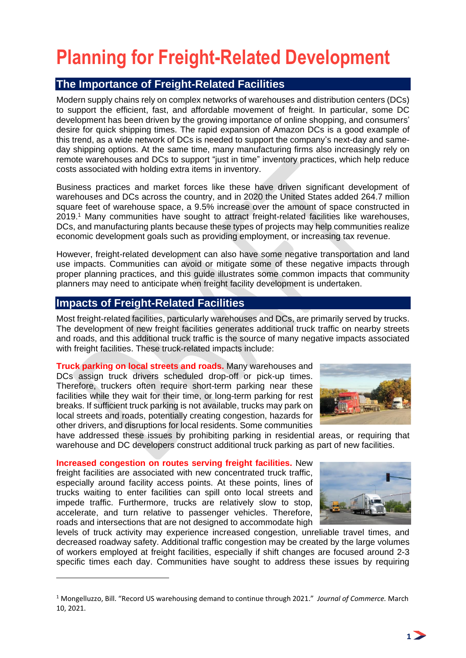# **Planning for Freight-Related Development**

## **The Importance of Freight-Related Facilities**

Modern supply chains rely on complex networks of warehouses and distribution centers (DCs) to support the efficient, fast, and affordable movement of freight. In particular, some DC development has been driven by the growing importance of online shopping, and consumers' desire for quick shipping times. The rapid expansion of Amazon DCs is a good example of this trend, as a wide network of DCs is needed to support the company's next-day and sameday shipping options. At the same time, many manufacturing firms also increasingly rely on remote warehouses and DCs to support "just in time" inventory practices, which help reduce costs associated with holding extra items in inventory.

Business practices and market forces like these have driven significant development of warehouses and DCs across the country, and in 2020 the United States added 264.7 million square feet of warehouse space, a 9.5% increase over the amount of space constructed in 2019. <sup>1</sup> Many communities have sought to attract freight-related facilities like warehouses, DCs, and manufacturing plants because these types of projects may help communities realize economic development goals such as providing employment, or increasing tax revenue.

However, freight-related development can also have some negative transportation and land use impacts. Communities can avoid or mitigate some of these negative impacts through proper planning practices, and this guide illustrates some common impacts that community planners may need to anticipate when freight facility development is undertaken.

### **Impacts of Freight-Related Facilities**

Most freight-related facilities, particularly warehouses and DCs, are primarily served by trucks. The development of new freight facilities generates additional truck traffic on nearby streets and roads, and this additional truck traffic is the source of many negative impacts associated with freight facilities. These truck-related impacts include:

**Truck parking on local streets and roads.** Many warehouses and DCs assign truck drivers scheduled drop-off or pick-up times. Therefore, truckers often require short-term parking near these facilities while they wait for their time, or long-term parking for rest breaks. If sufficient truck parking is not available, trucks may park on local streets and roads, potentially creating congestion, hazards for other drivers, and disruptions for local residents. Some communities



have addressed these issues by prohibiting parking in residential areas, or requiring that warehouse and DC developers construct additional truck parking as part of new facilities.

**Increased congestion on routes serving freight facilities.** New freight facilities are associated with new concentrated truck traffic, especially around facility access points. At these points, lines of trucks waiting to enter facilities can spill onto local streets and impede traffic. Furthermore, trucks are relatively slow to stop, accelerate, and turn relative to passenger vehicles. Therefore, roads and intersections that are not designed to accommodate high



levels of truck activity may experience increased congestion, unreliable travel times, and decreased roadway safety. Additional traffic congestion may be created by the large volumes of workers employed at freight facilities, especially if shift changes are focused around 2-3 specific times each day. Communities have sought to address these issues by requiring

<sup>1</sup> Mongelluzzo, Bill. "Record US warehousing demand to continue through 2021." *Journal of Commerce.* March 10, 2021.